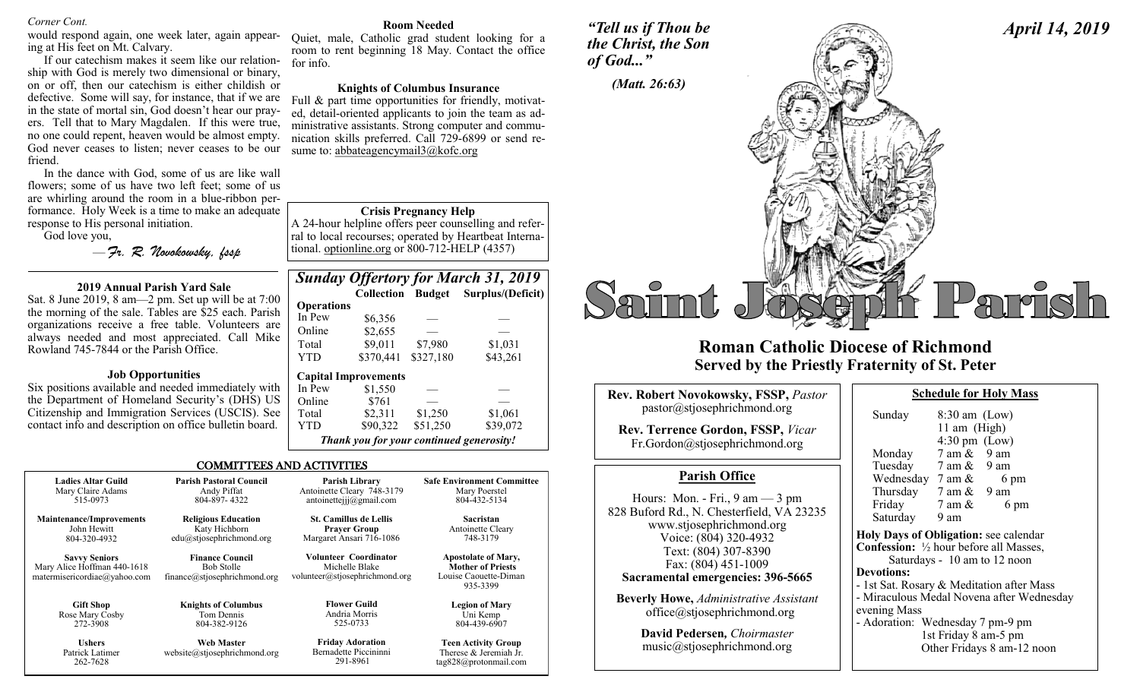#### *Corner Cont.*

would respond again, one week later, again appearing at His feet on Mt. Calvary.

If our catechism makes it seem like our relationship with God is merely two dimensional or binary, on or off, then our catechism is either childish or defective. Some will say, for instance, that if we are in the state of mortal sin, God doesn't hear our prayers. Tell that to Mary Magdalen. If this were true, no one could repent, heaven would be almost empty. God never ceases to listen; never ceases to be our friend.

In the dance with God, some of us are like wall flowers; some of us have two left feet; some of us are whirling around the room in a blue-ribbon performance. Holy Week is a time to make an adequate response to His personal initiation.

God love you,

262-7628

— *Fr. R. Novokowsky, fssp* 

#### **2019 Annual Parish Yard Sale**

Sat. 8 June 2019, 8 am—2 pm. Set up will be at 7:00 the morning of the sale. Tables are \$25 each. Parish organizations receive a free table. Volunteers are always needed and most appreciated. Call Mike Rowland 745-7844 or the Parish Office.

#### **Job Opportunities**

Six positions available and needed immediately with the Department of Homeland Security's (DHS) US Citizenship and Immigration Services (USCIS). See contact info and description on office bulletin board.

#### **Room Needed**

Quiet, male, Catholic grad student looking for a room to rent beginning 18 May. Contact the office for info.

#### **Knights of Columbus Insurance**

Full & part time opportunities for friendly, motivated, detail-oriented applicants to join the team as administrative assistants. Strong computer and communication skills preferred. Call 729-6899 or send resume to: abbateagencymail3@kofc.org

#### **Crisis Pregnancy Help**

A 24-hour helpline offers peer counselling and referral to local recourses; operated by Heartbeat International. optionline.org or 800-712-HELP (4357)

|                   |                                          |           | <b>Sunday Offertory for March 31, 2019</b> |
|-------------------|------------------------------------------|-----------|--------------------------------------------|
|                   |                                          |           | Collection Budget Surplus/(Deficit)        |
| <b>Operations</b> |                                          |           |                                            |
| In Pew            | \$6,356                                  |           |                                            |
| Online            | \$2,655                                  |           |                                            |
| Total             | \$9,011                                  | \$7,980   | \$1,031                                    |
| <b>YTD</b>        | \$370,441                                | \$327,180 | \$43,261                                   |
|                   | <b>Capital Improvements</b>              |           |                                            |
| In Pew            | \$1,550                                  |           |                                            |
| Online            | \$761                                    |           |                                            |
| Total             | \$2,311                                  | \$1,250   | \$1,061                                    |
| YTD               | \$90,322                                 | \$51,250  | \$39,072                                   |
|                   | Thank you for your continued generosity! |           |                                            |

tag828@protonmail.com

#### COMMITTEES AND ACTIVITIES

| <b>Ladies Altar Guild</b>                                                           | <b>Parish Pastoral Council</b>                                              | Parish Library                                                            | <b>Safe Environment Committee</b>                                                           |
|-------------------------------------------------------------------------------------|-----------------------------------------------------------------------------|---------------------------------------------------------------------------|---------------------------------------------------------------------------------------------|
| Mary Claire Adams                                                                   | Andy Piffat                                                                 | Antoinette Cleary 748-3179                                                | Mary Poerstel                                                                               |
| 515-0973                                                                            | 804-897-4322                                                                | antoinetteijj@gmail.com                                                   | 804-432-5134                                                                                |
| <b>Maintenance/Improvements</b>                                                     | <b>Religious Education</b>                                                  | <b>St. Camillus de Lellis</b>                                             | Sacristan                                                                                   |
| John Hewitt                                                                         | Katy Hichborn                                                               | <b>Praver Group</b>                                                       | Antoinette Cleary                                                                           |
| 804-320-4932                                                                        | edu@stjosephrichmond.org                                                    | Margaret Ansari 716-1086                                                  | 748-3179                                                                                    |
| <b>Savvy Seniors</b><br>Mary Alice Hoffman 440-1618<br>matermisericordiae@yahoo.com | <b>Finance Council</b><br><b>Bob Stolle</b><br>finance@stjosephrichmond.org | Volunteer Coordinator<br>Michelle Blake<br>volunteer@stjosephrichmond.org | <b>Apostolate of Mary,</b><br><b>Mother of Priests</b><br>Louise Caouette-Diman<br>935-3399 |
| <b>Gift Shop</b>                                                                    | <b>Knights of Columbus</b>                                                  | <b>Flower Guild</b>                                                       | <b>Legion of Mary</b>                                                                       |
| Rose Mary Cosby                                                                     | Tom Dennis                                                                  | Andria Morris                                                             | Uni Kemp                                                                                    |
| 272-3908                                                                            | 804-382-9126                                                                | 525-0733                                                                  | 804-439-6907                                                                                |
| <b>Ushers</b>                                                                       | <b>Web Master</b>                                                           | <b>Friday Adoration</b>                                                   | <b>Teen Activity Group</b>                                                                  |
| Patrick Latimer                                                                     | website@stjosephrichmond.org                                                | Bernadette Piccininni                                                     | Therese & Jeremiah Jr.                                                                      |

291-8961

## *"Tell us if Thou be the Christ, the Son of God..."*



# **Roman Catholic Diocese of Richmond Served by the Priestly Fraternity of St. Peter**

| <b>Rev. Robert Novokowsky, FSSP, Pastor</b>                                                                                                                                                                                             |                                                                                                                                                       |
|-----------------------------------------------------------------------------------------------------------------------------------------------------------------------------------------------------------------------------------------|-------------------------------------------------------------------------------------------------------------------------------------------------------|
| pastor@stjosephrichmond.org                                                                                                                                                                                                             | Sunday                                                                                                                                                |
| <b>Rev. Terrence Gordon, FSSP, Vicar</b><br>Fr.Gordon@stjosephrichmond.org                                                                                                                                                              | Monday<br>Tuesday                                                                                                                                     |
| <b>Parish Office</b>                                                                                                                                                                                                                    | Wednesday                                                                                                                                             |
| Hours: Mon. - Fri., $9 \text{ am} - 3 \text{ pm}$<br>828 Buford Rd., N. Chesterfield, VA 23235<br>www.stjosephrichmond.org<br>Voice: (804) 320-4932<br>Text: (804) 307-8390<br>Fax: (804) 451-1009<br>Sacramental emergencies: 396-5665 | Thursday<br>Friday<br>Saturday<br><b>Holy Days of Ob</b><br><b>Confession:</b> $\frac{1}{2}$ h<br>Saturdays<br><b>Devotions:</b><br>- 1st Sat. Rosary |
| <b>Beverly Howe, Administrative Assistant</b><br>office@stjosephrichmond.org                                                                                                                                                            | - Miraculous Med<br>evening Mass                                                                                                                      |
| David Pedersen, Choirmaster<br>music@stjosephrichmond.org                                                                                                                                                                               | - Adoration: We<br>1st.<br>Oth                                                                                                                        |

*April 14, 2019*

| Sunday                                         | $8:30$ am (Low)         |                                           |
|------------------------------------------------|-------------------------|-------------------------------------------|
|                                                | 11 am (High)            |                                           |
|                                                | $4:30 \text{ pm}$ (Low) |                                           |
| Monday                                         | $7$ am $\&$ 9 am        |                                           |
| Tuesday                                        | 7 am & 9 am             |                                           |
| Wednesday $7 \text{ am } \& 6 \text{ pm}$      |                         |                                           |
| Thursday $7 \text{ am } \& 9 \text{ am}$       |                         |                                           |
| Friday                                         | $7 \text{ am } \&$      | 6 pm                                      |
| Saturday                                       | 9 am                    |                                           |
| Holy Days of Obligation: see calendar          |                         |                                           |
| <b>Confession:</b> 1/2 hour before all Masses, |                         |                                           |
|                                                |                         | Saturdays - 10 am to 12 noon              |
| <b>Devotions:</b>                              |                         |                                           |
|                                                |                         | - 1st Sat. Rosary & Meditation after Mass |
|                                                |                         | - Miraculous Medal Novena after Wednesday |
| evening Mass                                   |                         |                                           |
| - Adoration: Wednesday 7 pm-9 pm               |                         |                                           |
|                                                | 1st Friday 8 am-5 pm    |                                           |
|                                                |                         | Other Fridays 8 am-12 noon                |